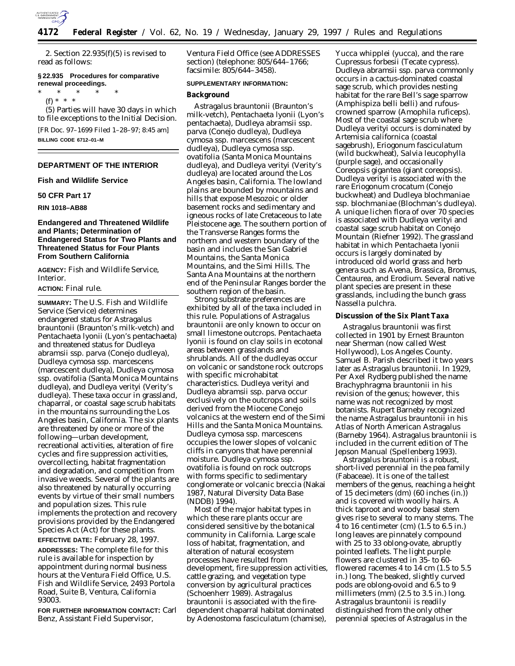

2. Section 22.935(f)(5) is revised to read as follows:

## **§ 22.935 Procedures for comparative renewal proceedings.**

\* \* \* \* \*

(f) \* \* \* (5) Parties will have 30 days in which to file exceptions to the Initial Decision. [FR Doc. 97–1699 Filed 1–28–97; 8:45 am] **BILLING CODE 6712–01–M**

## **DEPARTMENT OF THE INTERIOR**

## **Fish and Wildlife Service**

## **50 CFR Part 17**

### **RIN 1018–AB88**

## **Endangered and Threatened Wildlife and Plants; Determination of Endangered Status for Two Plants and Threatened Status for Four Plants From Southern California**

**AGENCY:** Fish and Wildlife Service, **Interior** 

## **ACTION:** Final rule.

**SUMMARY:** The U.S. Fish and Wildlife Service (Service) determines endangered status for *Astragalus brauntonii* (Braunton's milk-vetch) and *Pentachaeta lyonii* (Lyon's pentachaeta) and threatened status for *Dudleya abramsii* ssp. *parva* (Conejo dudleya), *Dudleya cymosa* ssp. *marcescens* (marcescent dudleya), *Dudleya cymosa* ssp. *ovatifolia* (Santa Monica Mountains dudleya), and *Dudleya verityi* (Verity's dudleya). These taxa occur in grassland, chaparral, or coastal sage scrub habitats in the mountains surrounding the Los Angeles basin, California. The six plants are threatened by one or more of the following—urban development, recreational activities, alteration of fire cycles and fire suppression activities, overcollecting, habitat fragmentation and degradation, and competition from invasive weeds. Several of the plants are also threatened by naturally occurring events by virtue of their small numbers and population sizes. This rule implements the protection and recovery provisions provided by the Endangered Species Act (Act) for these plants.

**EFFECTIVE DATE:** February 28, 1997. **ADDRESSES:** The complete file for this rule is available for inspection by appointment during normal business hours at the Ventura Field Office, U.S. Fish and Wildlife Service, 2493 Portola Road, Suite B, Ventura, California 93003.

**FOR FURTHER INFORMATION CONTACT:** Carl Benz, Assistant Field Supervisor,

Ventura Field Office (see ADDRESSES section) (telephone: 805/644–1766; facsimile: 805/644–3458).

### **SUPPLEMENTARY INFORMATION:**

### **Background**

*Astragalus brauntonii* (Braunton's milk-vetch), *Pentachaeta lyonii* (Lyon's pentachaeta), *Dudleya abramsii* ssp. *parva* (Conejo dudleya), *Dudleya cymosa* ssp. *marcescens* (marcescent dudleya), *Dudleya cymosa* ssp. *ovatifolia* (Santa Monica Mountains dudleya), and *Dudleya verityi* (Verity's dudleya) are located around the Los Angeles basin, California. The lowland plains are bounded by mountains and hills that expose Mesozoic or older basement rocks and sedimentary and igneous rocks of late Cretaceous to late Pleistocene age. The southern portion of the Transverse Ranges forms the northern and western boundary of the basin and includes the San Gabriel Mountains, the Santa Monica Mountains, and the Simi Hills. The Santa Ana Mountains at the northern end of the Peninsular Ranges border the southern region of the basin.

Strong substrate preferences are exhibited by all of the taxa included in this rule. Populations of *Astragalus brauntonii* are only known to occur on small limestone outcrops. *Pentachaeta lyonii* is found on clay soils in ecotonal areas between grasslands and shrublands. All of the dudleyas occur on volcanic or sandstone rock outcrops with specific microhabitat characteristics. *Dudleya verityi* and *Dudleya abramsii* ssp. *parva* occur exclusively on the outcrops and soils derived from the Miocene Conejo volcanics at the western end of the Simi Hills and the Santa Monica Mountains. *Dudleya cymosa* ssp. *marcescens* occupies the lower slopes of volcanic cliffs in canyons that have perennial moisture. *Dudleya cymosa* ssp. *ovatifolia* is found on rock outcrops with forms specific to sedimentary conglomerate or volcanic breccia (Nakai 1987, Natural Diversity Data Base (NDDB) 1994).

Most of the major habitat types in which these rare plants occur are considered sensitive by the botanical community in California. Large scale loss of habitat, fragmentation, and alteration of natural ecosystem processes have resulted from development, fire suppression activities, cattle grazing, and vegetation type conversion by agricultural practices (Schoenherr 1989). *Astragalus brauntonii* is associated with the firedependent chaparral habitat dominated by *Adenostoma fasciculatum* (chamise),

*Yucca whipplei* (yucca), and the rare *Cupressus forbesii* (Tecate cypress). *Dudleya abramsii* ssp. *parva* commonly occurs in a cactus-dominated coastal sage scrub, which provides nesting habitat for the rare Bell's sage sparrow (*Amphispiza belli belli*) and rufouscrowned sparrow (*Amophila ruficeps*). Most of the coastal sage scrub where *Dudleya verityi* occurs is dominated by *Artemisia californica* (coastal sagebrush), *Eriogonum fasciculatum* (wild buckwheat), *Salvia leucophylla* (purple sage), and occasionally *Coreopsis gigantea* (giant coreopsis). *Dudleya verityi* is associated with the rare *Eriogonum crocatum* (Conejo buckwheat) and *Dudleya blochmaniae* ssp. *blochmaniae* (Blochman's dudleya). A unique lichen flora of over 70 species is associated with *Dudleya verityi* and coastal sage scrub habitat on Conejo Mountain (Riefner 1992). The grassland habitat in which *Pentachaeta lyonii* occurs is largely dominated by introduced old world grass and herb genera such as *Avena*, *Brassica*, *Bromus*, *Centaurea*, and *Erodium*. Several native plant species are present in these grasslands, including the bunch grass *Nassella pulchra*.

### **Discussion of the Six Plant Taxa**

*Astragalus brauntonii* was first collected in 1901 by Ernest Braunton near Sherman (now called West Hollywood), Los Angeles County. Samuel B. Parish described it two years later as *Astragalus brauntonii*. In 1929, Per Axel Rydberg published the name *Brachyphragma brauntonii* in his revision of the genus; however, this name was not recognized by most botanists. Rupert Barneby recognized the name *Astragalus brauntonii* in his *Atlas of North American Astragalus* (Barneby 1964). *Astragalus brauntonii* is included in the current edition of *The Jepson Manual* (Spellenberg 1993).

*Astragalus brauntonii* is a robust, short-lived perennial in the pea family (Fabaceae). It is one of the tallest members of the genus, reaching a height of 15 decimeters (dm) (60 inches (in.)) and is covered with woolly hairs. A thick taproot and woody basal stem gives rise to several to many stems. The  $\overline{4}$  to 16 centimeter (cm) (1.5 to 6.5 in.) long leaves are pinnately compound with 25 to 33 oblong-ovate, abruptly pointed leaflets. The light purple flowers are clustered in 35- to 60 flowered racemes 4 to 14 cm (1.5 to 5.5 in.) long. The beaked, slightly curved pods are oblong-ovoid and 6.5 to 9 millimeters (mm) (2.5 to 3.5 in.) long. *Astragalus brauntonii* is readily distinguished from the only other perennial species of *Astragalus* in the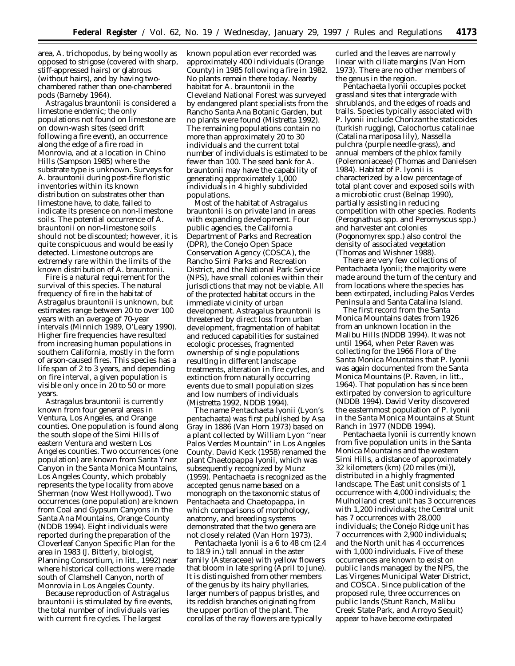area, *A. trichopodus*, by being woolly as opposed to strigose (covered with sharp, stiff-appressed hairs) or glabrous (without hairs), and by having twochambered rather than one-chambered pods (Barneby 1964).

*Astragalus brauntonii* is considered a limestone endemic; the only populations not found on limestone are on down-wash sites (seed drift following a fire event), an occurrence along the edge of a fire road in Monrovia, and at a location in Chino Hills (Sampson 1985) where the substrate type is unknown. Surveys for *A. brauntonii* during post-fire floristic inventories within its known distribution on substrates other than limestone have, to date, failed to indicate its presence on non-limestone soils. The potential occurrence of *A. brauntonii* on non-limestone soils should not be discounted; however, it is quite conspicuous and would be easily detected. Limestone outcrops are extremely rare within the limits of the known distribution of *A. brauntonii*.

Fire is a natural requirement for the survival of this species. The natural frequency of fire in the habitat of *Astragalus brauntonii* is unknown, but estimates range between 20 to over 100 years with an average of 70-year intervals (Minnich 1989, O'Leary 1990). Higher fire frequencies have resulted from increasing human populations in southern California, mostly in the form of arson-caused fires. This species has a life span of 2 to 3 years, and depending on fire interval, a given population is visible only once in 20 to 50 or more years.

*Astragalus brauntonii* is currently known from four general areas in Ventura, Los Angeles, and Orange counties. One population is found along the south slope of the Simi Hills of eastern Ventura and western Los Angeles counties. Two occurrences (one population) are known from Santa Ynez Canyon in the Santa Monica Mountains, Los Angeles County, which probably represents the type locality from above Sherman (now West Hollywood). Two occurrences (one population) are known from Coal and Gypsum Canyons in the Santa Ana Mountains, Orange County (NDDB 1994). Eight individuals were reported during the preparation of the Cloverleaf Canyon Specific Plan for the area in 1983 (J. Bitterly, biologist, Planning Consortium, *in litt.*, 1992) near where historical collections were made south of Clamshell Canyon, north of Monrovia in Los Angeles County.

Because reproduction of *Astragalus brauntonii* is stimulated by fire events, the total number of individuals varies with current fire cycles. The largest

known population ever recorded was approximately 400 individuals (Orange County) in 1985 following a fire in 1982. No plants remain there today. Nearby habitat for *A. brauntonii* in the Cleveland National Forest was surveyed by endangered plant specialists from the Rancho Santa Ana Botanic Garden, but no plants were found (Mistretta 1992). The remaining populations contain no more than approximately 20 to 30 individuals and the current total number of individuals is estimated to be fewer than 100. The seed bank for *A. brauntonii* may have the capability of generating approximately 1,000 individuals in 4 highly subdivided populations.

Most of the habitat of *Astragalus brauntonii* is on private land in areas with expanding development. Four public agencies, the California Department of Parks and Recreation (DPR), the Conejo Open Space Conservation Agency (COSCA), the Rancho Simi Parks and Recreation District, and the National Park Service (NPS), have small colonies within their jurisdictions that may not be viable. All of the protected habitat occurs in the immediate vicinity of urban development. *Astragalus brauntonii* is threatened by direct loss from urban development, fragmentation of habitat and reduced capabilities for sustained ecologic processes, fragmented ownership of single populations resulting in different landscape treatments, alteration in fire cycles, and extinction from naturally occurring events due to small population sizes and low numbers of individuals (Mistretta 1992, NDDB 1994).

The name *Pentachaeta lyonii* (Lyon's pentachaeta) was first published by Asa Gray in 1886 (Van Horn 1973) based on a plant collected by William Lyon ''near Palos Verdes Mountain'' in Los Angeles County. David Keck (1958) renamed the plant *Chaetopappa lyonii*, which was subsequently recognized by Munz (1959). *Pentachaeta* is recognized as the accepted genus name based on a monograph on the taxonomic status of *Pentachaeta* and *Chaetopappa*, in which comparisons of morphology, anatomy, and breeding systems demonstrated that the two genera are not closely related (Van Horn 1973).

*Pentachaeta lyonii* is a 6 to 48 cm (2.4 to 18.9 in.) tall annual in the aster family (Asteraceae) with yellow flowers that bloom in late spring (April to June). It is distinguished from other members of the genus by its hairy phyllaries, larger numbers of pappus bristles, and its reddish branches originating from the upper portion of the plant. The corollas of the ray flowers are typically

curled and the leaves are narrowly linear with ciliate margins (Van Horn 1973). There are no other members of the genus in the region.

*Pentachaeta lyonii* occupies pocket grassland sites that intergrade with shrublands, and the edges of roads and trails. Species typically associated with *P. lyonii* include *Chorizanthe staticoides* (turkish rugging), *Calochortus catalinae* (Catalina mariposa lily), *Nassella pulchra* (purple needle-grass), and annual members of the phlox family (Polemoniaceae) (Thomas and Danielsen 1984). Habitat of P. lyonii is characterized by a low percentage of total plant cover and exposed soils with a microbiotic crust (Belnap 1990), partially assisting in reducing competition with other species. Rodents (*Perognathus* spp. and *Peromyscus* spp.) and harvester ant colonies (*Pogonomyrex* spp.) also control the density of associated vegetation (Thomas and Wishner 1988).

There are very few collections of *Pentachaeta lyonii;* the majority were made around the turn of the century and from locations where the species has been extirpated, including Palos Verdes Peninsula and Santa Catalina Island.

The first record from the Santa Monica Mountains dates from 1926 from an unknown location in the Malibu Hills (NDDB 1994). It was not until 1964, when Peter Raven was collecting for the 1966 *Flora of the Santa Monica Mountains* that *P. lyonii* was again documented from the Santa Monica Mountains (P. Raven, *in litt.,* 1964). That population has since been extirpated by conversion to agriculture (NDDB 1994). David Verity discovered the easternmost population of *P. lyonii* in the Santa Monica Mountains at Stunt Ranch in 1977 (NDDB 1994).

*Pentachaeta lyonii* is currently known from five population units in the Santa Monica Mountains and the western Simi Hills, a distance of approximately 32 kilometers (km) (20 miles (mi)), distributed in a highly fragmented landscape. The East unit consists of 1 occurrence with 4,000 individuals; the Mulholland crest unit has 3 occurrences with 1,200 individuals; the Central unit has 7 occurrences with 28,000 individuals; the Conejo Ridge unit has 7 occurrences with 2,900 individuals; and the North unit has 4 occurrences with 1,000 individuals. Five of these occurrences are known to exist on public lands managed by the NPS, the Las Virgenes Municipal Water District, and COSCA. Since publication of the proposed rule, three occurrences on public lands (Stunt Ranch, Malibu Creek State Park, and Arroyo Sequit) appear to have become extirpated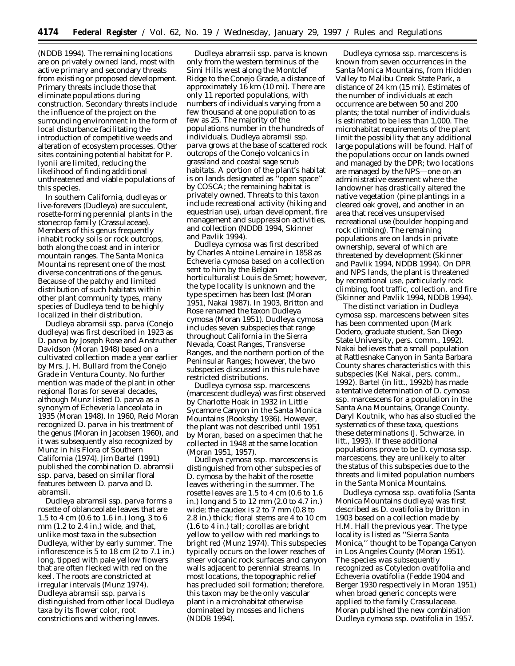(NDDB 1994). The remaining locations are on privately owned land, most with active primary and secondary threats from existing or proposed development. Primary threats include those that eliminate populations during construction. Secondary threats include the influence of the project on the surrounding environment in the form of local disturbance facilitating the introduction of competitive weeds and alteration of ecosystem processes. Other sites containing potential habitat for *P. lyonii* are limited, reducing the likelihood of finding additional unthreatened and viable populations of this species.

In southern California, dudleyas or live-forevers (*Dudleya*) are succulent, rosette-forming perennial plants in the stonecrop family (Crassulaceae). Members of this genus frequently inhabit rocky soils or rock outcrops, both along the coast and in interior mountain ranges. The Santa Monica Mountains represent one of the most diverse concentrations of the genus. Because of the patchy and limited distribution of such habitats within other plant community types, many species of *Dudleya* tend to be highly localized in their distribution.

*Dudleya abramsii* ssp. *parva* (Conejo dudleya) was first described in 1923 as *D. parva* by Joseph Rose and Anstruther Davidson (Moran 1948) based on a cultivated collection made a year earlier by Mrs. J. H. Bullard from the Conejo Grade in Ventura County. No further mention was made of the plant in other regional floras for several decades, although Munz listed *D. parva* as a synonym of *Echeveria lanceolata* in 1935 (Moran 1948). In 1960, Reid Moran recognized *D. parva* in his treatment of the genus (Moran in Jacobsen 1960), and it was subsequently also recognized by Munz in his *Flora of Southern California* (1974). Jim Bartel (1991) published the combination *D. abramsii* ssp. *parva,* based on similar floral features between *D. parva* and *D. abramsii.*

*Dudleya abramsii* ssp. *parva* forms a rosette of oblanceolate leaves that are 1.5 to 4 cm (0.6 to 1.6 in.) long, 3 to 6 mm (1.2 to 2.4 in.) wide, and that, unlike most taxa in the subsection *Dudleya,* wither by early summer. The inflorescence is 5 to 18 cm (2 to 7.1 in.) long, tipped with pale yellow flowers that are often flecked with red on the keel. The roots are constricted at irregular intervals (Munz 1974). *Dudleya abramsii* ssp. *parva* is distinguished from other local *Dudleya* taxa by its flower color, root constrictions and withering leaves.

*Dudleya abramsii* ssp. *parva* is known only from the western terminus of the Simi Hills west along the Montclef Ridge to the Conejo Grade, a distance of approximately 16 km (10 mi). There are only 11 reported populations, with numbers of individuals varying from a few thousand at one population to as few as 25. The majority of the populations number in the hundreds of individuals. *Dudleya abramsii* ssp. *parva* grows at the base of scattered rock outcrops of the Conejo volcanics in grassland and coastal sage scrub habitats. A portion of the plant's habitat is on lands designated as ''open space'' by COSCA; the remaining habitat is privately owned. Threats to this taxon include recreational activity (hiking and equestrian use), urban development, fire management and suppression activities, and collection (NDDB 1994, Skinner and Pavlik 1994).

*Dudleya cymosa* was first described by Charles Antoine Lemaire in 1858 as *Echeveria cymosa* based on a collection sent to him by the Belgian horticulturalist Louis de Smet; however, the type locality is unknown and the type specimen has been lost (Moran 1951, Nakai 1987). In 1903, Britton and Rose renamed the taxon *Dudleya cymosa* (Moran 1951). *Dudleya cymosa* includes seven subspecies that range throughout California in the Sierra Nevada, Coast Ranges, Transverse Ranges, and the northern portion of the Peninsular Ranges; however, the two subspecies discussed in this rule have restricted distributions.

*Dudleya cymosa* ssp. *marcescens* (marcescent dudleya) was first observed by Charlotte Hoak in 1932 in Little Sycamore Canyon in the Santa Monica Mountains (Rooksby 1936). However, the plant was not described until 1951 by Moran, based on a specimen that he collected in 1948 at the same location (Moran 1951, 1957).

*Dudleya cymosa* ssp. *marcescens* is distinguished from other subspecies of *D. cymosa* by the habit of the rosette leaves withering in the summer. The rosette leaves are 1.5 to 4 cm (0.6 to 1.6 in.) long and 5 to 12 mm (2.0 to 4.7 in.) wide; the caudex is 2 to 7 mm (0.8 to 2.8 in.) thick; floral stems are 4 to 10 cm (1.6 to 4 in.) tall; corollas are bright yellow to yellow with red markings to bright red (Munz 1974). This subspecies typically occurs on the lower reaches of sheer volcanic rock surfaces and canyon walls adjacent to perennial streams. In most locations, the topographic relief has precluded soil formation; therefore, this taxon may be the only vascular plant in a microhabitat otherwise dominated by mosses and lichens (NDDB 1994).

*Dudleya cymosa* ssp. *marcescens* is known from seven occurrences in the Santa Monica Mountains, from Hidden Valley to Malibu Creek State Park, a distance of 24 km (15 mi). Estimates of the number of individuals at each occurrence are between 50 and 200 plants; the total number of individuals is estimated to be less than 1,000. The microhabitat requirements of the plant limit the possibility that any additional large populations will be found. Half of the populations occur on lands owned and managed by the DPR; two locations are managed by the NPS—one on an administrative easement where the landowner has drastically altered the native vegetation (pine plantings in a cleared oak grove), and another in an area that receives unsupervised recreational use (boulder hopping and rock climbing). The remaining populations are on lands in private ownership, several of which are threatened by development (Skinner and Pavlik 1994, NDDB 1994). On DPR and NPS lands, the plant is threatened by recreational use, particularly rock climbing, foot traffic, collection, and fire (Skinner and Pavlik 1994, NDDB 1994).

The distinct variation in *Dudleya cymosa* ssp. *marcescens* between sites has been commented upon (Mark Dodero, graduate student, San Diego State University, pers. comm., 1992). Nakai believes that a small population at Rattlesnake Canyon in Santa Barbara County shares characteristics with this subspecies (Kei Nakai, pers. comm., 1992). Bartel (*in litt.*, 1992b) has made a tentative determination of *D. cymosa* ssp. *marcescens* for a population in the Santa Ana Mountains, Orange County. Daryl Koutnik, who has also studied the systematics of these taxa, questions these determinations (J. Schwarze, *in litt.*, 1993). If these additional populations prove to be *D. cymosa* ssp. *marcescens,* they are unlikely to alter the status of this subspecies due to the threats and limited population numbers in the Santa Monica Mountains.

*Dudleya cymosa* ssp. *ovatifolia* (Santa Monica Mountains dudleya) was first described as *D. ovatifolia* by Britton in 1903 based on a collection made by H.M. Hall the previous year. The type locality is listed as ''Sierra Santa Monica,'' thought to be Topanga Canyon in Los Angeles County (Moran 1951). The species was subsequently recognized as *Cotyledon ovatifolia* and *Echeveria ovatifolia* (Fedde 1904 and Berger 1930 respectively in Moran 1951) when broad generic concepts were applied to the family Crassulaceae. Moran published the new combination *Dudleya cymosa* ssp. *ovatifolia* in 1957.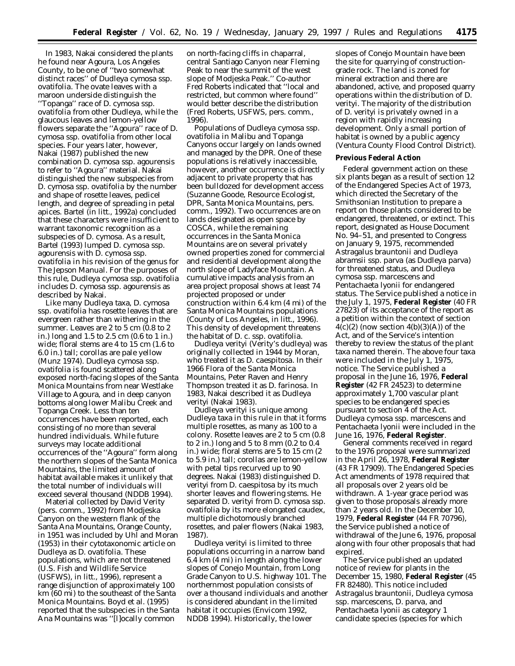In 1983, Nakai considered the plants he found near Agoura, Los Angeles County, to be one of ''two somewhat distinct races'' of *Dudleya cymosa* ssp. *ovatifolia.* The ovate leaves with a maroon underside distinguish the ''Topanga'' race of *D. cymosa* ssp. *ovatifolia* from other *Dudleya,* while the glaucous leaves and lemon-yellow flowers separate the ''Agoura'' race of *D. cymosa* ssp. *ovatifolia* from other local species. Four years later, however, Nakai (1987) published the new combination *D. cymosa* ssp. *agourensis* to refer to ''Agoura'' material. Nakai distinguished the new subspecies from *D. cymosa* ssp. *ovatifolia* by the number and shape of rosette leaves, pedicel length, and degree of spreading in petal apices. Bartel (*in litt.*, 1992a) concluded that these characters were insufficient to warrant taxonomic recognition as a subspecies of *D. cymosa.* As a result, Bartel (1993) lumped *D. cymosa* ssp. *agourensis* with *D. cymosa* ssp. *ovatifolia* in his revision of the genus for *The Jepson Manual.* For the purposes of this rule, *Dudleya cymosa* ssp. *ovatifolia* includes *D. cymosa* ssp. *agourensis* as described by Nakai.

Like many *Dudleya* taxa, *D. cymosa* ssp. *ovatifolia* has rosette leaves that are evergreen rather than withering in the summer. Leaves are 2 to 5 cm (0.8 to 2 in.) long and 1.5 to 2.5 cm (0.6 to 1 in.) wide; floral stems are 4 to 15 cm (1.6 to 6.0 in.) tall; corollas are pale yellow (Munz 1974). *Dudleya cymosa* ssp. *ovatifolia* is found scattered along exposed north-facing slopes of the Santa Monica Mountains from near Westlake Village to Agoura, and in deep canyon bottoms along lower Malibu Creek and Topanga Creek. Less than ten occurrences have been reported, each consisting of no more than several hundred individuals. While future surveys may locate additional occurrences of the ''Agoura'' form along the northern slopes of the Santa Monica Mountains, the limited amount of habitat available makes it unlikely that the total number of individuals will exceed several thousand (NDDB 1994).

Material collected by David Verity (pers. comm., 1992) from Modjeska Canyon on the western flank of the Santa Ana Mountains, Orange County, in 1951 was included by Uhl and Moran (1953) in their cytotaxonomic article on *Dudleya* as *D. ovatifolia.* These populations, which are not threatened (U.S. Fish and Wildlife Service (USFWS), *in litt.*, 1996), represent a range disjunction of approximately 100 km (60 mi) to the southeast of the Santa Monica Mountains. Boyd *et al.* (1995) reported that the subspecies in the Santa Ana Mountains was ''[l]ocally common

on north-facing cliffs in chaparral, central Santiago Canyon near Fleming Peak to near the summit of the west slope of Modjeska Peak.'' Co-author Fred Roberts indicated that ''local and restricted, but common where found'' would better describe the distribution (Fred Roberts, USFWS, pers. comm., 1996).

Populations of *Dudleya cymosa* ssp. *ovatifolia* in Malibu and Topanga Canyons occur largely on lands owned and managed by the DPR. One of these populations is relatively inaccessible, however, another occurrence is directly adjacent to private property that has been bulldozed for development access (Suzanne Goode, Resource Ecologist, DPR, Santa Monica Mountains, pers. comm., 1992). Two occurrences are on lands designated as open space by COSCA, while the remaining occurrences in the Santa Monica Mountains are on several privately owned properties zoned for commercial and residential development along the north slope of Ladyface Mountain. A cumulative impacts analysis from an area project proposal shows at least 74 projected proposed or under construction within 6.4 km (4 mi) of the Santa Monica Mountains populations (County of Los Angeles, *in litt.*, 1996). This density of development threatens the habitat of *D. c.* ssp. *ovatifolia.*

*Dudleya verityi* (Verity's dudleya) was originally collected in 1944 by Moran, who treated it as *D. caespitosa.* In their 1966 *Flora of the Santa Monica Mountains,* Peter Raven and Henry Thompson treated it as *D. farinosa.* In 1983, Nakai described it as *Dudleya verityi* (Nakai 1983).

*Dudleya verityi* is unique among *Dudleya* taxa in this rule in that it forms multiple rosettes, as many as 100 to a colony. Rosette leaves are 2 to 5 cm (0.8 to 2 in.) long and 5 to 8 mm (0.2 to 0.4 in.) wide; floral stems are 5 to 15 cm (2 to 5.9 in.) tall; corollas are lemon-yellow with petal tips recurved up to 90 degrees. Nakai (1983) distinguished *D. verityi* from *D. caespitosa* by its much shorter leaves and flowering stems. He separated *D. verityi* from *D. cymosa* ssp. *ovatifolia* by its more elongated caudex, multiple dichotomously branched rosettes, and paler flowers (Nakai 1983, 1987).

*Dudleya verityi* is limited to three populations occurring in a narrow band 6.4 km (4 mi) in length along the lower slopes of Conejo Mountain, from Long Grade Canyon to U.S. highway 101. The northernmost population consists of over a thousand individuals and another is considered abundant in the limited habitat it occupies (Envicom 1992, NDDB 1994). Historically, the lower

slopes of Conejo Mountain have been the site for quarrying of constructiongrade rock. The land is zoned for mineral extraction and there are abandoned, active, and proposed quarry operations within the distribution of *D. verityi.* The majority of the distribution of *D. verityi* is privately owned in a region with rapidly increasing development. Only a small portion of habitat is owned by a public agency (Ventura County Flood Control District).

### **Previous Federal Action**

Federal government action on these six plants began as a result of section 12 of the Endangered Species Act of 1973, which directed the Secretary of the Smithsonian Institution to prepare a report on those plants considered to be endangered, threatened, or extinct. This report, designated as House Document No. 94–51, and presented to Congress on January 9, 1975, recommended *Astragalus brauntonii* and *Dudleya abramsii* ssp. *parva* (as *Dudleya parva*) for threatened status, and *Dudleya cymosa* ssp. *marcescens* and *Pentachaeta lyonii* for endangered status. The Service published a notice in the July 1, 1975, **Federal Register** (40 FR 27823) of its acceptance of the report as a petition within the context of section  $4(c)(2)$  (now section  $4(b)(3)(A)$ ) of the Act, and of the Service's intention thereby to review the status of the plant taxa named therein. The above four taxa were included in the July 1, 1975, notice. The Service published a proposal in the June 16, 1976, **Federal Register** (42 FR 24523) to determine approximately 1,700 vascular plant species to be endangered species pursuant to section 4 of the Act. *Dudleya cymosa* ssp. *marcescens* and *Pentachaeta lyonii* were included in the June 16, 1976, **Federal Register**.

General comments received in regard to the 1976 proposal were summarized in the April 26, 1978, **Federal Register** (43 FR 17909). The Endangered Species Act amendments of 1978 required that all proposals over 2 years old be withdrawn. A 1-year grace period was given to those proposals already more than 2 years old. In the December 10, 1979, **Federal Register** (44 FR 70796), the Service published a notice of withdrawal of the June 6, 1976, proposal along with four other proposals that had expired.

The Service published an updated notice of review for plants in the December 15, 1980, **Federal Register** (45 FR 82480). This notice included *Astragalus brauntonii, Dudleya cymosa* ssp. *marcescens, D. parva,* and *Pentachaeta lyonii* as category 1 candidate species (species for which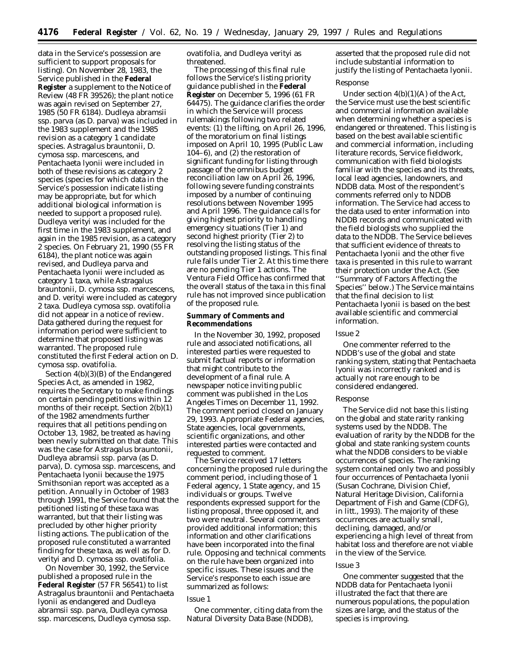data in the Service's possession are sufficient to support proposals for listing). On November 28, 1983, the Service published in the **Federal Register** a supplement to the Notice of Review (48 FR 39526); the plant notice was again revised on September 27, 1985 (50 FR 6184). *Dudleya abramsii* ssp. *parva* (as *D. parva*) was included in the 1983 supplement and the 1985 revision as a category 1 candidate species. *Astragalus brauntonii, D. cymosa* ssp. *marcescens,* and *Pentachaeta lyonii* were included in both of these revisions as category 2 species (species for which data in the Service's possession indicate listing may be appropriate, but for which additional biological information is needed to support a proposed rule). *Dudleya verityi* was included for the first time in the 1983 supplement, and again in the 1985 revision, as a category 2 species. On February 21, 1990 (55 FR 6184), the plant notice was again revised, and *Dudleya parva* and *Pentachaeta lyonii* were included as category 1 taxa, while *Astragalus brauntonii, D. cymosa* ssp. *marcescens,* and *D. verityi* were included as category 2 taxa. *Dudleya cymosa* ssp. *ovatifolia* did not appear in a notice of review. Data gathered during the request for information period were sufficient to determine that proposed listing was warranted. The proposed rule constituted the first Federal action on *D. cymosa* ssp. *ovatifolia.*

Section 4(b)(3)(B) of the Endangered Species Act, as amended in 1982, requires the Secretary to make findings on certain pending petitions within 12 months of their receipt. Section 2(b)(1) of the 1982 amendments further requires that all petitions pending on October 13, 1982, be treated as having been newly submitted on that date. This was the case for *Astragalus brauntonii, Dudleya abramsii* ssp. *parva* (as *D. parva*), *D. cymosa* ssp. *marcescens,* and *Pentachaeta lyonii* because the 1975 Smithsonian report was accepted as a petition. Annually in October of 1983 through 1991, the Service found that the petitioned listing of these taxa was warranted, but that their listing was precluded by other higher priority listing actions. The publication of the proposed rule constituted a warranted finding for these taxa, as well as for *D. verityi* and *D. cymosa* ssp. *ovatifolia.*

On November 30, 1992, the Service published a proposed rule in the **Federal Register** (57 FR 56541) to list *Astragalus brauntonii* and *Pentachaeta lyonii* as endangered and *Dudleya abramsii* ssp. *parva, Dudleya cymosa* ssp. *marcescens, Dudleya cymosa* ssp.

## *ovatifolia,* and *Dudleya verityi* as threatened.

The processing of this final rule follows the Service's listing priority guidance published in the **Federal Register** on December 5, 1996 (61 FR 64475). The guidance clarifies the order in which the Service will process rulemakings following two related events: (1) the lifting, on April 26, 1996, of the moratorium on final listings imposed on April 10, 1995 (Public Law 104–6), and (2) the restoration of significant funding for listing through passage of the omnibus budget reconciliation law on April 26, 1996, following severe funding constraints imposed by a number of continuing resolutions between November 1995 and April 1996. The guidance calls for giving highest priority to handling emergency situations (Tier 1) and second highest priority (Tier 2) to resolving the listing status of the outstanding proposed listings. This final rule falls under Tier 2. At this time there are no pending Tier 1 actions. The Ventura Field Office has confirmed that the overall status of the taxa in this final rule has not improved since publication of the proposed rule.

### **Summary of Comments and Recommendations**

In the November 30, 1992, proposed rule and associated notifications, all interested parties were requested to submit factual reports or information that might contribute to the development of a final rule. A newspaper notice inviting public comment was published in the *Los Angeles Times* on December 11, 1992. The comment period closed on January 29, 1993. Appropriate Federal agencies, State agencies, local governments, scientific organizations, and other interested parties were contacted and requested to comment.

The Service received 17 letters concerning the proposed rule during the comment period, including those of 1 Federal agency, 1 State agency, and 15 individuals or groups. Twelve respondents expressed support for the listing proposal, three opposed it, and two were neutral. Several commenters provided additional information; this information and other clarifications have been incorporated into the final rule. Opposing and technical comments on the rule have been organized into specific issues. These issues and the Service's response to each issue are summarized as follows:

## *Issue 1*

One commenter, citing data from the Natural Diversity Data Base (NDDB),

asserted that the proposed rule did not include substantial information to justify the listing of *Pentachaeta lyonii.*

## *Response*

Under section 4(b)(1)(A) of the Act, the Service must use the best scientific and commercial information available when determining whether a species is endangered or threatened. This listing is based on the best available scientific and commercial information, including literature records, Service fieldwork, communication with field biologists familiar with the species and its threats, local lead agencies, landowners, and NDDB data. Most of the respondent's comments referred only to NDDB information. The Service had access to the data used to enter information into NDDB records and communicated with the field biologists who supplied the data to the NDDB. The Service believes that sufficient evidence of threats to *Pentachaeta lyonii* and the other five taxa is presented in this rule to warrant their protection under the Act. (See ''Summary of Factors Affecting the Species'' below.) The Service maintains that the final decision to list *Pentachaeta lyonii* is based on the best available scientific and commercial information.

### *Issue 2*

One commenter referred to the NDDB's use of the global and state ranking system, stating that *Pentachaeta lyonii* was incorrectly ranked and is actually not rare enough to be considered endangered.

#### *Response*

The Service did not base this listing on the global and state rarity ranking systems used by the NDDB. The evaluation of rarity by the NDDB for the global and state ranking system counts what the NDDB considers to be viable occurrences of species. The ranking system contained only two and possibly four occurrences of *Pentachaeta lyonii* (Susan Cochrane, Division Chief, Natural Heritage Division, California Department of Fish and Game (CDFG), *in litt.*, 1993). The majority of these occurrences are actually small, declining, damaged, and/or experiencing a high level of threat from habitat loss and therefore are not viable in the view of the Service.

#### *Issue 3*

One commenter suggested that the NDDB data for *Pentachaeta lyonii* illustrated the fact that there are numerous populations, the population sizes are large, and the status of the species is improving.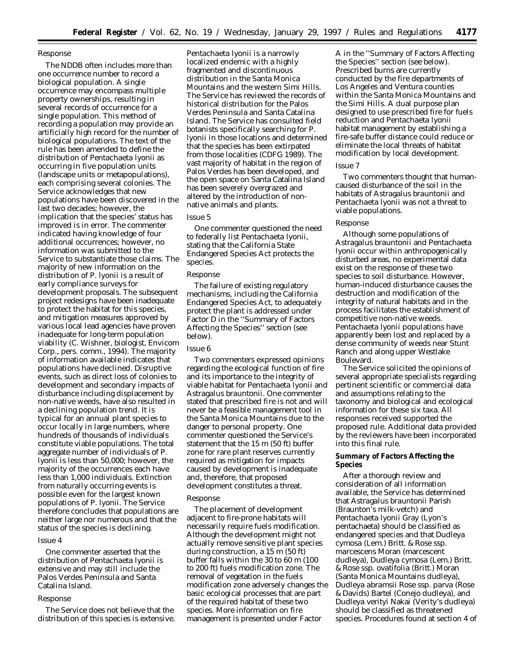## *Response*

The NDDB often includes more than one occurrence number to record a biological population. A single occurrence may encompass multiple property ownerships, resulting in several records of occurrence for a single population. This method of recording a population may provide an artificially high record for the number of biological populations. The text of the rule has been amended to define the distribution of *Pentachaeta lyonii* as occurring in five population units (landscape units or metapopulations), each comprising several colonies. The Service acknowledges that new populations have been discovered in the last two decades; however, the implication that the species' status has improved is in error. The commenter indicated having knowledge of four additional occurrences; however, no information was submitted to the Service to substantiate those claims. The majority of new information on the distribution of *P. lyonii* is a result of early compliance surveys for development proposals. The subsequent project redesigns have been inadequate to protect the habitat for this species, and mitigation measures approved by various local lead agencies have proven inadequate for long-term population viability (C. Wishner, biologist, Envicom Corp., pers. comm., 1994). The majority of information available indicates that populations have declined. Disruptive events, such as direct loss of colonies to development and secondary impacts of disturbance including displacement by non-native weeds, have also resulted in a declining population trend. It is typical for an annual plant species to occur locally in large numbers, where hundreds of thousands of individuals constitute viable populations. The total aggregate number of individuals of *P. lyonii* is less than 50,000; however, the majority of the occurrences each have less than 1,000 individuals. Extinction from naturally occurring events is possible even for the largest known populations of *P. lyonii*. The Service therefore concludes that populations are neither large nor numerous and that the status of the species is declining.

#### *Issue 4*

One commenter asserted that the distribution of *Pentachaeta lyonii* is extensive and may still include the Palos Verdes Peninsula and Santa Catalina Island.

#### *Response*

The Service does not believe that the distribution of this species is extensive. *Pentachaeta lyonii* is a narrowly localized endemic with a highly fragmented and discontinuous distribution in the Santa Monica Mountains and the western Simi Hills. The Service has reviewed the records of historical distribution for the Palos Verdes Peninsula and Santa Catalina Island. The Service has consulted field botanists specifically searching for *P. lyonii* in those locations and determined that the species has been extirpated from those localities (CDFG 1989). The vast majority of habitat in the region of Palos Verdes has been developed, and the open space on Santa Catalina Island has been severely overgrazed and altered by the introduction of nonnative animals and plants.

#### *Issue 5*

One commenter questioned the need to federally list *Pentachaeta lyonii,* stating that the California State Endangered Species Act protects the species.

#### *Response*

The failure of existing regulatory mechanisms, including the California Endangered Species Act, to adequately protect the plant is addressed under Factor D in the ''Summary of Factors Affecting the Species'' section (see below).

## *Issue 6*

Two commenters expressed opinions regarding the ecological function of fire and its importance to the integrity of viable habitat for *Pentachaeta lyonii* and *Astragalus brauntonii.* One commenter stated that prescribed fire is not and will never be a feasible management tool in the Santa Monica Mountains due to the danger to personal property. One commenter questioned the Service's statement that the 15 m (50 ft) buffer zone for rare plant reserves currently required as mitigation for impacts caused by development is inadequate and, therefore, that proposed development constitutes a threat.

#### *Response*

The placement of development adjacent to fire-prone habitats will necessarily require fuels modification. Although the development might not actually remove sensitive plant species during construction, a 15 m (50 ft) buffer falls within the 30 to 60 m (100 to 200 ft) fuels modification zone. The removal of vegetation in the fuels modification zone adversely changes the basic ecological processes that are part of the required habitat of these two species. More information on fire management is presented under Factor

A in the ''Summary of Factors Affecting the Species'' section (see below). Prescribed burns are currently conducted by the fire departments of Los Angeles and Ventura counties within the Santa Monica Mountains and the Simi Hills. A dual purpose plan designed to use prescribed fire for fuels reduction and *Pentachaeta lyonii* habitat management by establishing a fire-safe buffer distance could reduce or eliminate the local threats of habitat modification by local development.

#### *Issue 7*

Two commenters thought that humancaused disturbance of the soil in the habitats of *Astragalus brauntonii* and *Pentachaeta lyonii* was not a threat to viable populations.

#### *Response*

Although some populations of *Astragalus brauntonii* and *Pentachaeta lyonii* occur within anthropogenically disturbed areas, no experimental data exist on the response of these two species to soil disturbance. However, human-induced disturbance causes the destruction and modification of the integrity of natural habitats and in the process facilitates the establishment of competitive non-native weeds. *Pentachaeta lyonii* populations have apparently been lost and replaced by a dense community of weeds near Stunt Ranch and along upper Westlake Boulevard.

The Service solicited the opinions of several appropriate specialists regarding pertinent scientific or commercial data and assumptions relating to the taxonomy and biological and ecological information for these six taxa. All responses received supported the proposed rule. Additional data provided by the reviewers have been incorporated into this final rule.

## **Summary of Factors Affecting the Species**

After a thorough review and consideration of all information available, the Service has determined that *Astragalus brauntonii* Parish (Braunton's milk-vetch) and *Pentachaeta lyonii* Gray (Lyon's pentachaeta) should be classified as endangered species and that *Dudleya cymosa* (Lem.) Britt. & Rose ssp. *marcescens* Moran (marcescent dudleya), *Dudleya cymosa* (Lem.) Britt. & Rose ssp. *ovatifolia* (Britt.) Moran (Santa Monica Mountains dudleya), *Dudleya abramsii* Rose ssp. *parva* (Rose & Davids) Bartel (Conejo dudleya), and *Dudleya verityi* Nakai (Verity's dudleya) should be classified as threatened species. Procedures found at section 4 of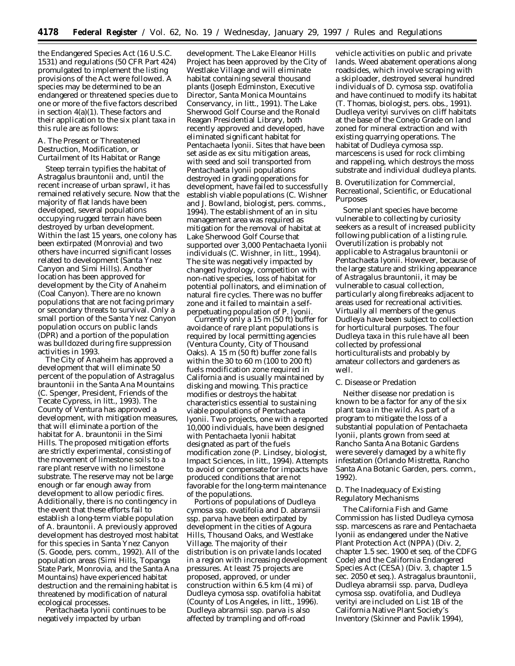the Endangered Species Act (16 U.S.C. 1531) and regulations (50 CFR Part 424) promulgated to implement the listing provisions of the Act were followed. A species may be determined to be an endangered or threatened species due to one or more of the five factors described in section 4(a)(1). These factors and their application to the six plant taxa in this rule are as follows:

### *A. The Present or Threatened Destruction, Modification, or Curtailment of Its Habitat or Range*

Steep terrain typifies the habitat of *Astragalus brauntonii* and, until the recent increase of urban sprawl, it has remained relatively secure. Now that the majority of flat lands have been developed, several populations occupying rugged terrain have been destroyed by urban development. Within the last 15 years, one colony has been extirpated (Monrovia) and two others have incurred significant losses related to development (Santa Ynez Canyon and Simi Hills). Another location has been approved for development by the City of Anaheim (Coal Canyon). There are no known populations that are not facing primary or secondary threats to survival. Only a small portion of the Santa Ynez Canyon population occurs on public lands (DPR) and a portion of the population was bulldozed during fire suppression activities in 1993.

The City of Anaheim has approved a development that will eliminate 50 percent of the population of *Astragalus brauntonii* in the Santa Ana Mountains (C. Spenger, President, Friends of the Tecate Cypress, *in litt.*, 1993). The County of Ventura has approved a development, with mitigation measures, that will eliminate a portion of the habitat for *A. brauntonii* in the Simi Hills. The proposed mitigation efforts are strictly experimental, consisting of the movement of limestone soils to a rare plant reserve with no limestone substrate. The reserve may not be large enough or far enough away from development to allow periodic fires. Additionally, there is no contingency in the event that these efforts fail to establish a long-term viable population of *A. brauntonii.* A previously approved development has destroyed most habitat for this species in Santa Ynez Canyon (S. Goode, pers. comm., 1992). All of the population areas (Simi Hills, Topanga State Park, Monrovia, and the Santa Ana Mountains) have experienced habitat destruction and the remaining habitat is threatened by modification of natural ecological processes.

*Pentachaeta lyonii* continues to be negatively impacted by urban

development. The Lake Eleanor Hills Project has been approved by the City of Westlake Village and will eliminate habitat containing several thousand plants (Joseph Edminston, Executive Director, Santa Monica Mountains Conservancy, *in litt.*, 1991). The Lake Sherwood Golf Course and the Ronald Reagan Presidential Library, both recently approved and developed, have eliminated significant habitat for *Pentachaeta lyonii.* Sites that have been set aside as *ex situ* mitigation areas, with seed and soil transported from *Pentachaeta lyonii* populations destroyed in grading operations for development, have failed to successfully establish viable populations (C. Wishner and J. Bowland, biologist, pers. comms., 1994). The establishment of an *in situ* management area was required as mitigation for the removal of habitat at Lake Sherwood Golf Course that supported over 3,000 *Pentachaeta lyonii* individuals (C. Wishner, *in litt.*, 1994). The site was negatively impacted by changed hydrology, competition with non-native species, loss of habitat for potential pollinators, and elimination of natural fire cycles. There was no buffer zone and it failed to maintain a selfperpetuating population of *P. lyonii.*

Currently only a 15 m (50 ft) buffer for avoidance of rare plant populations is required by local permitting agencies (Ventura County, City of Thousand Oaks). A 15 m (50 ft) buffer zone falls within the 30 to 60 m (100 to 200 ft) fuels modification zone required in California and is usually maintained by disking and mowing. This practice modifies or destroys the habitat characteristics essential to sustaining viable populations of *Pentachaeta lyonii.* Two projects, one with a reported 10,000 individuals, have been designed with *Pentachaeta lyonii* habitat designated as part of the fuels modification zone (P. Lindsey, biologist, Impact Sciences, *in litt.*, 1994). Attempts to avoid or compensate for impacts have produced conditions that are not favorable for the long-term maintenance of the populations.

Portions of populations of *Dudleya cymosa* ssp. *ovatifolia* and *D. abramsii* ssp. *parva* have been extirpated by development in the cities of Agoura Hills, Thousand Oaks, and Westlake Village. The majority of their distribution is on private lands located in a region with increasing development pressures. At least 75 projects are proposed, approved, or under construction within 6.5 km (4 mi) of *Dudleya cymosa* ssp. *ovatifolia* habitat (County of Los Angeles, *in litt.*, 1996). *Dudleya abramsii* ssp. *parva* is also affected by trampling and off-road

vehicle activities on public and private lands. Weed abatement operations along roadsides, which involve scraping with a skiploader, destroyed several hundred individuals of *D. cymosa* ssp. *ovatifolia* and have continued to modify its habitat (T. Thomas, biologist, pers. obs., 1991). *Dudleya verityi* survives on cliff habitats at the base of the Conejo Grade on land zoned for mineral extraction and with existing quarrying operations. The habitat of *Dudleya cymosa* ssp. *marcescens* is used for rock climbing and rappeling, which destroys the moss substrate and individual dudleya plants.

## *B. Overutilization for Commercial, Recreational, Scientific, or Educational Purposes*

Some plant species have become vulnerable to collecting by curiosity seekers as a result of increased publicity following publication of a listing rule. Overutilization is probably not applicable to *Astragalus brauntonii* or *Pentachaeta lyonii.* However, because of the large stature and striking appearance of *Astragalus brauntonii*, it may be vulnerable to casual collection, particularly along firebreaks adjacent to areas used for recreational activities. Virtually all members of the genus *Dudleya* have been subject to collection for horticultural purposes. The four *Dudleya* taxa in this rule have all been collected by professional horticulturalists and probably by amateur collectors and gardeners as well.

### *C. Disease or Predation*

Neither disease nor predation is known to be a factor for any of the six plant taxa in the wild. As part of a program to mitigate the loss of a substantial population of *Pentachaeta lyonii*, plants grown from seed at Rancho Santa Ana Botanic Gardens were severely damaged by a white fly infestation (Orlando Mistretta, Rancho Santa Ana Botanic Garden, pers. comm., 1992).

## *D. The Inadequacy of Existing Regulatory Mechanisms*

The California Fish and Game Commission has listed *Dudleya cymosa* ssp. *marcescens* as rare and *Pentachaeta lyonii* as endangered under the Native Plant Protection Act (NPPA) (Div. 2, chapter 1.5 sec. 1900 *et seq.* of the CDFG Code) and the California Endangered Species Act (CESA) (Div. 3, chapter 1.5 sec. 2050 *et seq.*). *Astragalus brauntonii, Dudleya abramsii* ssp. *parva, Dudleya cymosa* ssp. *ovatifolia,* and *Dudleya verityi* are included on List 1B of the California Native Plant Society's *Inventory* (Skinner and Pavlik 1994),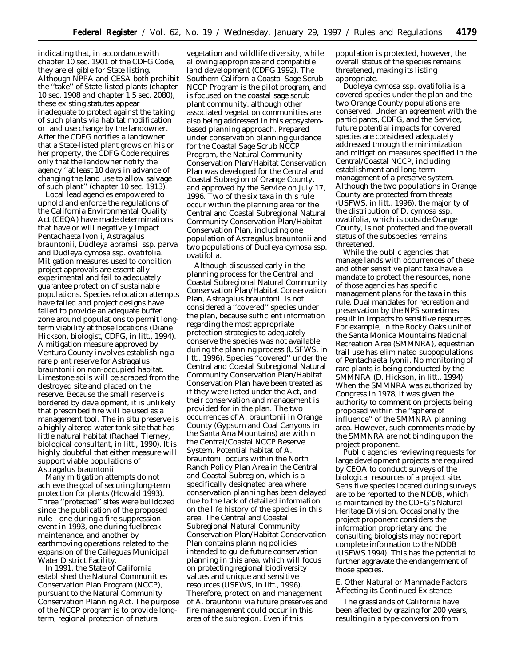indicating that, in accordance with chapter 10 sec. 1901 of the CDFG Code, they are eligible for State listing. Although NPPA and CESA both prohibit the ''take'' of State-listed plants (chapter 10 sec. 1908 and chapter 1.5 sec. 2080), these existing statutes appear inadequate to protect against the taking of such plants via habitat modification or land use change by the landowner. After the CDFG notifies a landowner that a State-listed plant grows on his or her property, the CDFG Code requires only that the landowner notify the agency ''at least 10 days in advance of changing the land use to allow salvage of such plant'' (chapter 10 sec. 1913).

Local lead agencies empowered to uphold and enforce the regulations of the California Environmental Quality Act (CEQA) have made determinations that have or will negatively impact *Pentachaeta lyonii, Astragalus brauntonii, Dudleya abramsii* ssp. *parva* and *Dudleya cymosa* ssp. *ovatifolia.* Mitigation measures used to condition project approvals are essentially experimental and fail to adequately guarantee protection of sustainable populations. Species relocation attempts have failed and project designs have failed to provide an adequate buffer zone around populations to permit longterm viability at those locations (Diane Hickson, biologist, CDFG, *in litt.*, 1994). A mitigation measure approved by Ventura County involves establishing a rare plant reserve for *Astragalus brauntonii* on non-occupied habitat. Limestone soils will be scraped from the destroyed site and placed on the reserve. Because the small reserve is bordered by development, it is unlikely that prescribed fire will be used as a management tool. The *in situ* preserve is a highly altered water tank site that has little natural habitat (Rachael Tierney, biological consultant, *in litt.*, 1990). It is highly doubtful that either measure will support viable populations of *Astragalus brauntonii.*

Many mitigation attempts do not achieve the goal of securing long-term protection for plants (Howald 1993). Three ''protected'' sites were bulldozed since the publication of the proposed rule—one during a fire suppression event in 1993, one during fuelbreak maintenance, and another by earthmoving operations related to the expansion of the Calleguas Municipal Water District Facility.

In 1991, the State of California established the Natural Communities Conservation Plan Program (NCCP), pursuant to the Natural Community Conservation Planning Act. The purpose of the NCCP program is to provide longterm, regional protection of natural

vegetation and wildlife diversity, while allowing appropriate and compatible land development (CDFG 1992). The Southern California Coastal Sage Scrub NCCP Program is the pilot program, and is focused on the coastal sage scrub plant community, although other associated vegetation communities are also being addressed in this ecosystembased planning approach. Prepared under conservation planning guidance for the Coastal Sage Scrub NCCP Program, the Natural Community Conservation Plan/Habitat Conservation Plan was developed for the Central and Coastal Subregion of Orange County, and approved by the Service on July 17, 1996. Two of the six taxa in this rule occur within the planning area for the Central and Coastal Subregional Natural Community Conservation Plan/Habitat Conservation Plan, including one population of *Astragalus brauntonii* and two populations of *Dudleya cymosa* ssp. *ovatifolia.*

Although discussed early in the planning process for the Central and Coastal Subregional Natural Community Conservation Plan/Habitat Conservation Plan, *Astragalus brauntonii* is not considered a ''covered'' species under the plan, because sufficient information regarding the most appropriate protection strategies to adequately conserve the species was not available during the planning process (USFWS, *in litt.*, 1996). Species ''covered'' under the Central and Coastal Subregional Natural Community Conservation Plan/Habitat Conservation Plan have been treated as if they were listed under the Act, and their conservation and management is provided for in the plan. The two occurrences of *A. brauntonii* in Orange County (Gypsum and Coal Canyons in the Santa Ana Mountains) are within the Central/Coastal NCCP Reserve System. Potential habitat of *A. brauntonii* occurs within the North Ranch Policy Plan Area in the Central and Coastal Subregion, which is a specifically designated area where conservation planning has been delayed due to the lack of detailed information on the life history of the species in this area. The Central and Coastal Subregional Natural Community Conservation Plan/Habitat Conservation Plan contains planning policies intended to guide future conservation planning in this area, which will focus on protecting regional biodiversity values and unique and sensitive resources (USFWS, *in litt.*, 1996). Therefore, protection and management of *A. brauntonii* via future preserves and fire management could occur in this area of the subregion. Even if this

population is protected, however, the overall status of the species remains threatened, making its listing appropriate.

*Dudleya cymosa* ssp. *ovatifolia* is a covered species under the plan and the two Orange County populations are conserved. Under an agreement with the participants, CDFG, and the Service, future potential impacts for covered species are considered adequately addressed through the minimization and mitigation measures specified in the Central/Coastal NCCP, including establishment and long-term management of a preserve system. Although the two populations in Orange County are protected from threats (USFWS, *in litt.*, 1996), the majority of the distribution of *D. cymosa* ssp. *ovatifolia,* which is outside Orange County, is not protected and the overall status of the subspecies remains threatened.

While the public agencies that manage lands with occurrences of these and other sensitive plant taxa have a mandate to protect the resources, none of those agencies has specific management plans for the taxa in this rule. Dual mandates for recreation and preservation by the NPS sometimes result in impacts to sensitive resources. For example, in the Rocky Oaks unit of the Santa Monica Mountains National Recreation Area (SMMNRA), equestrian trail use has eliminated subpopulations of *Pentachaeta lyonii.* No monitoring of rare plants is being conducted by the SMMNRA (D. Hickson, *in litt.*, 1994). When the SMMNRA was authorized by Congress in 1978, it was given the authority to comment on projects being proposed within the ''sphere of influence'' of the SMMNRA planning area. However, such comments made by the SMMNRA are not binding upon the project proponent.

Public agencies reviewing requests for large development projects are required by CEQA to conduct surveys of the biological resources of a project site. Sensitive species located during surveys are to be reported to the NDDB, which is maintained by the CDFG's Natural Heritage Division. Occasionally the project proponent considers the information proprietary and the consulting biologists may not report complete information to the NDDB (USFWS 1994). This has the potential to further aggravate the endangerment of those species.

## *E. Other Natural or Manmade Factors Affecting its Continued Existence*

The grasslands of California have been affected by grazing for 200 years, resulting in a type-conversion from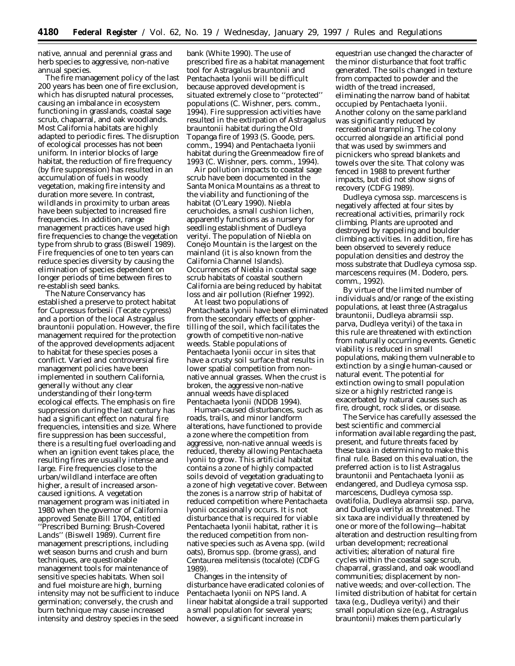native, annual and perennial grass and herb species to aggressive, non-native annual species.

The fire management policy of the last 200 years has been one of fire exclusion, which has disrupted natural processes, causing an imbalance in ecosystem functioning in grasslands, coastal sage scrub, chaparral, and oak woodlands. Most California habitats are highly adapted to periodic fires. The disruption of ecological processes has not been uniform. In interior blocks of large habitat, the reduction of fire frequency (by fire suppression) has resulted in an accumulation of fuels in woody vegetation, making fire intensity and duration more severe. In contrast, wildlands in proximity to urban areas have been subjected to increased fire frequencies. In addition, range management practices have used high fire frequencies to change the vegetation type from shrub to grass (Biswell 1989). Fire frequencies of one to ten years can reduce species diversity by causing the elimination of species dependent on longer periods of time between fires to re-establish seed banks.

The Nature Conservancy has established a preserve to protect habitat for *Cupressus forbesii* (Tecate cypress) and a portion of the local *Astragalus brauntonii* population. However, the fire management required for the protection of the approved developments adjacent to habitat for these species poses a conflict. Varied and controversial fire management policies have been implemented in southern California, generally without any clear understanding of their long-term ecological effects. The emphasis on fire suppression during the last century has had a significant effect on natural fire frequencies, intensities and size. Where fire suppression has been successful, there is a resulting fuel overloading and when an ignition event takes place, the resulting fires are usually intense and large. Fire frequencies close to the urban/wildland interface are often higher, a result of increased arsoncaused ignitions. A vegetation management program was initiated in 1980 when the governor of California approved Senate Bill 1704, entitled ''Prescribed Burning: Brush-Covered Lands'' (Biswell 1989). Current fire management prescriptions, including wet season burns and crush and burn techniques, are questionable management tools for maintenance of sensitive species habitats. When soil and fuel moisture are high, burning intensity may not be sufficient to induce germination; conversely, the crush and burn technique may cause increased intensity and destroy species in the seed

bank (White 1990). The use of prescribed fire as a habitat management tool for *Astragalus brauntonii* and *Pentachaeta lyonii* will be difficult because approved development is situated extremely close to ''protected'' populations (C. Wishner, pers. comm., 1994). Fire suppression activities have resulted in the extirpation of *Astragalus brauntonii* habitat during the Old Topanga fire of 1993 (S. Goode, pers. comm., 1994) and *Pentachaeta lyonii* habitat during the Greenmeadow fire of 1993 (C. Wishner, pers. comm., 1994).

Air pollution impacts to coastal sage scrub have been documented in the Santa Monica Mountains as a threat to the viability and functioning of the habitat (O'Leary 1990). *Niebla ceruchoides*, a small cushion lichen, apparently functions as a nursery for seedling establishment of *Dudleya verityi.* The population of *Niebla* on Conejo Mountain is the largest on the mainland (it is also known from the California Channel Islands). Occurrences of *Niebla* in coastal sage scrub habitats of coastal southern California are being reduced by habitat loss and air pollution (Riefner 1992).

At least two populations of *Pentachaeta lyonii* have been eliminated from the secondary effects of gophertilling of the soil, which facilitates the growth of competitive non-native weeds. Stable populations of *Pentachaeta lyonii* occur in sites that have a crusty soil surface that results in lower spatial competition from nonnative annual grasses. When the crust is broken, the aggressive non-native annual weeds have displaced *Pentachaeta lyonii* (NDDB 1994).

Human-caused disturbances, such as roads, trails, and minor landform alterations, have functioned to provide a zone where the competition from aggressive, non-native annual weeds is reduced, thereby allowing *Pentachaeta lyonii* to grow. This artificial habitat contains a zone of highly compacted soils devoid of vegetation graduating to a zone of high vegetative cover. Between the zones is a narrow strip of habitat of reduced competition where *Pentachaeta lyonii* occasionally occurs. It is not disturbance that is required for viable *Pentachaeta lyonii* habitat, rather it is the reduced competition from nonnative species such as *Avena* spp. (wild oats), *Bromus* spp. (brome grass), and *Centaurea melitensis* (tocalote) (CDFG 1989).

Changes in the intensity of disturbance have eradicated colonies of *Pentachaeta lyonii* on NPS land. A linear habitat alongside a trail supported a small population for several years; however, a significant increase in

equestrian use changed the character of the minor disturbance that foot traffic generated. The soils changed in texture from compacted to powder and the width of the tread increased, eliminating the narrow band of habitat occupied by *Pentachaeta lyonii*. Another colony on the same parkland was significantly reduced by recreational trampling. The colony occurred alongside an artificial pond that was used by swimmers and picnickers who spread blankets and towels over the site. That colony was fenced in 1988 to prevent further impacts, but did not show signs of recovery (CDFG 1989).

*Dudleya cymosa* ssp. *marcescens* is negatively affected at four sites by recreational activities, primarily rock climbing. Plants are uprooted and destroyed by rappeling and boulder climbing activities. In addition, fire has been observed to severely reduce population densities and destroy the moss substrate that *Dudleya cymosa* ssp. *marcescens* requires (M. Dodero, pers. comm., 1992).

By virtue of the limited number of individuals and/or range of the existing populations, at least three (*Astragalus brauntonii, Dudleya abramsii* ssp. *parva, Dudleya verityi*) of the taxa in this rule are threatened with extinction from naturally occurring events. Genetic viability is reduced in small populations, making them vulnerable to extinction by a single human-caused or natural event. The potential for extinction owing to small population size or a highly restricted range is exacerbated by natural causes such as fire, drought, rock slides, or disease.

The Service has carefully assessed the best scientific and commercial information available regarding the past, present, and future threats faced by these taxa in determining to make this final rule. Based on this evaluation, the preferred action is to list *Astragalus brauntonii* and *Pentachaeta lyonii* as endangered, and *Dudleya cymosa* ssp. *marcescens, Dudleya cymosa* ssp. *ovatifolia, Dudleya abramsii* ssp. *parva*, and *Dudleya verityi* as threatened. The six taxa are individually threatened by one or more of the following—habitat alteration and destruction resulting from urban development; recreational activities; alteration of natural fire cycles within the coastal sage scrub, chaparral, grassland, and oak woodland communities; displacement by nonnative weeds; and over-collection. The limited distribution of habitat for certain taxa (e.g., *Dudleya verityi*) and their small population size (e.g., *Astragalus brauntonii*) makes them particularly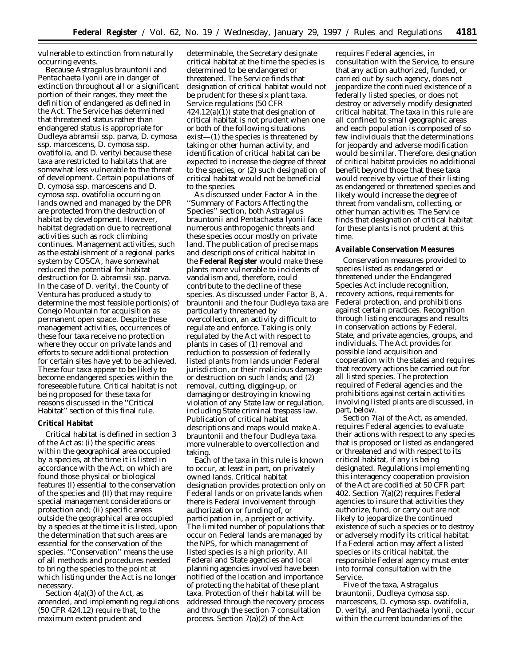vulnerable to extinction from naturally occurring events.

Because *Astragalus brauntonii* and *Pentachaeta lyonii* are in danger of extinction throughout all or a significant portion of their ranges, they meet the definition of endangered as defined in the Act. The Service has determined that threatened status rather than endangered status is appropriate for *Dudleya abramsii* ssp. *parva, D. cymosa* ssp. *marcescens, D. cymosa* ssp. *ovatifolia*, and *D. verityi* because these taxa are restricted to habitats that are somewhat less vulnerable to the threat of development. Certain populations of *D. cymosa* ssp. *marcescens* and *D. cymosa* ssp. *ovatifolia* occurring on lands owned and managed by the DPR are protected from the destruction of habitat by development. However, habitat degradation due to recreational activities such as rock climbing continues. Management activities, such as the establishment of a regional parks system by COSCA, have somewhat reduced the potential for habitat destruction for *D. abramsii* ssp. *parva.* In the case of *D. verityi*, the County of Ventura has produced a study to determine the most feasible portion(s) of Conejo Mountain for acquisition as permanent open space. Despite these management activities, occurrences of these four taxa receive no protection where they occur on private lands and efforts to secure additional protection for certain sites have yet to be achieved. These four taxa appear to be likely to become endangered species within the foreseeable future. Critical habitat is not being proposed for these taxa for reasons discussed in the ''Critical Habitat'' section of this final rule.

#### **Critical Habitat**

Critical habitat is defined in section 3 of the Act as: (i) the specific areas within the geographical area occupied by a species, at the time it is listed in accordance with the Act, on which are found those physical or biological features (I) essential to the conservation of the species and (II) that may require special management considerations or protection and; (ii) specific areas outside the geographical area occupied by a species at the time it is listed, upon the determination that such areas are essential for the conservation of the species. ''Conservation'' means the use of all methods and procedures needed to bring the species to the point at which listing under the Act is no longer necessary.

Section  $4(a)(3)$  of the Act, as amended, and implementing regulations (50 CFR 424.12) require that, to the maximum extent prudent and

determinable, the Secretary designate critical habitat at the time the species is determined to be endangered or threatened. The Service finds that designation of critical habitat would not be prudent for these six plant taxa. Service regulations (50 CFR 424.12(a)(1)) state that designation of critical habitat is not prudent when one or both of the following situations exist—(1) the species is threatened by taking or other human activity, and identification of critical habitat can be expected to increase the degree of threat to the species, or (2) such designation of critical habitat would not be beneficial to the species.

As discussed under Factor A in the ''Summary of Factors Affecting the Species'' section, both *Astragalus brauntonii* and *Pentachaeta lyonii* face numerous anthropogenic threats and these species occur mostly on private land. The publication of precise maps and descriptions of critical habitat in the **Federal Register** would make these plants more vulnerable to incidents of vandalism and, therefore, could contribute to the decline of these species. As discussed under Factor B, *A. brauntonii* and the four *Dudleya* taxa are particularly threatened by overcollection, an activity difficult to regulate and enforce. Taking is only regulated by the Act with respect to plants in cases of (1) removal and reduction to possession of federally listed plants from lands under Federal jurisdiction, or their malicious damage or destruction on such lands; and (2) removal, cutting, digging-up, or damaging or destroying in knowing violation of any State law or regulation, including State criminal trespass law. Publication of critical habitat descriptions and maps would make *A. brauntonii* and the four *Dudleya* taxa more vulnerable to overcollection and taking.

Each of the taxa in this rule is known to occur, at least in part, on privately owned lands. Critical habitat designation provides protection only on Federal lands or on private lands when there is Federal involvement through authorization or funding of, or participation in, a project or activity. The limited number of populations that occur on Federal lands are managed by the NPS, for which management of listed species is a high priority. All Federal and State agencies and local planning agencies involved have been notified of the location and importance of protecting the habitat of these plant taxa. Protection of their habitat will be addressed through the recovery process and through the section 7 consultation process. Section 7(a)(2) of the Act

requires Federal agencies, in consultation with the Service, to ensure that any action authorized, funded, or carried out by such agency, does not jeopardize the continued existence of a federally listed species, or does not destroy or adversely modify designated critical habitat. The taxa in this rule are all confined to small geographic areas and each population is composed of so few individuals that the determinations for jeopardy and adverse modification would be similar. Therefore, designation of critical habitat provides no additional benefit beyond those that these taxa would receive by virtue of their listing as endangered or threatened species and likely would increase the degree of threat from vandalism, collecting, or other human activities. The Service finds that designation of critical habitat for these plants is not prudent at this time.

#### **Available Conservation Measures**

Conservation measures provided to species listed as endangered or threatened under the Endangered Species Act include recognition, recovery actions, requirements for Federal protection, and prohibitions against certain practices. Recognition through listing encourages and results in conservation actions by Federal, State, and private agencies, groups, and individuals. The Act provides for possible land acquisition and cooperation with the states and requires that recovery actions be carried out for all listed species. The protection required of Federal agencies and the prohibitions against certain activities involving listed plants are discussed, in part, below.

Section 7(a) of the Act, as amended, requires Federal agencies to evaluate their actions with respect to any species that is proposed or listed as endangered or threatened and with respect to its critical habitat, if any is being designated. Regulations implementing this interagency cooperation provision of the Act are codified at 50 CFR part 402. Section 7(a)(2) requires Federal agencies to insure that activities they authorize, fund, or carry out are not likely to jeopardize the continued existence of such a species or to destroy or adversely modify its critical habitat. If a Federal action may affect a listed species or its critical habitat, the responsible Federal agency must enter into formal consultation with the Service.

Five of the taxa, *Astragalus brauntonii*, *Dudleya cymosa* ssp. *marcescens*, *D. cymosa* ssp. *ovatifolia*, *D. verityi*, and *Pentachaeta lyonii*, occur within the current boundaries of the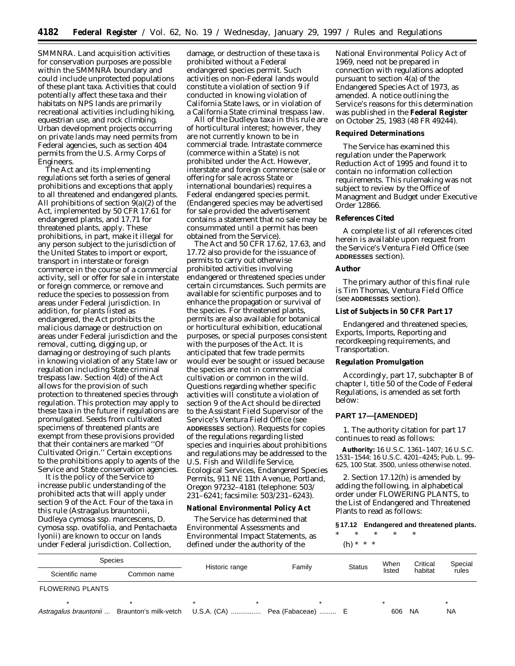SMMNRA. Land acquisition activities for conservation purposes are possible within the SMMNRA boundary and could include unprotected populations of these plant taxa. Activities that could potentially affect these taxa and their habitats on NPS lands are primarily recreational activities including hiking, equestrian use, and rock climbing. Urban development projects occurring on private lands may need permits from Federal agencies, such as section 404 permits from the U.S. Army Corps of Engineers.

The Act and its implementing regulations set forth a series of general prohibitions and exceptions that apply to all threatened and endangered plants. All prohibitions of section 9(a)(2) of the Act, implemented by 50 CFR 17.61 for endangered plants, and 17.71 for threatened plants, apply. These prohibitions, in part, make it illegal for any person subject to the jurisdiction of the United States to import or export, transport in interstate or foreign commerce in the course of a commercial activity, sell or offer for sale in interstate or foreign commerce, or remove and reduce the species to possession from areas under Federal jurisdiction. In addition, for plants listed as endangered, the Act prohibits the malicious damage or destruction on areas under Federal jurisdiction and the removal, cutting, digging up, or damaging or destroying of such plants in knowing violation of any State law or regulation including State criminal trespass law. Section 4(d) of the Act allows for the provision of such protection to threatened species through regulation. This protection may apply to these taxa in the future if regulations are promulgated. Seeds from cultivated specimens of threatened plants are exempt from these provisions provided that their containers are marked ''Of Cultivated Origin.'' Certain exceptions to the prohibitions apply to agents of the Service and State conservation agencies.

It is the policy of the Service to increase public understanding of the prohibited acts that will apply under section 9 of the Act. Four of the taxa in this rule (*Astragalus brauntonii*, *Dudleya cymosa* ssp. *marcescens*, *D. cymosa* ssp. *ovatifolia*, and *Pentachaeta lyonii*) are known to occur on lands under Federal jurisdiction. Collection,

damage, or destruction of these taxa is prohibited without a Federal endangered species permit. Such activities on non-Federal lands would constitute a violation of section 9 if conducted in knowing violation of California State laws, or in violation of a California State criminal trespass law.

All of the *Dudleya* taxa in this rule are of horticultural interest; however, they are not currently known to be in commercial trade. Intrastate commerce (commerce within a State) is not prohibited under the Act. However, interstate and foreign commerce (sale or offering for sale across State or international boundaries) requires a Federal endangered species permit. (Endangered species may be advertised for sale provided the advertisement contains a statement that no sale may be consummated until a permit has been obtained from the Service).

The Act and 50 CFR 17.62, 17.63, and 17.72 also provide for the issuance of permits to carry out otherwise prohibited activities involving endangered or threatened species under certain circumstances. Such permits are available for scientific purposes and to enhance the propagation or survival of the species. For threatened plants, permits are also available for botanical or horticultural exhibition, educational purposes, or special purposes consistent with the purposes of the Act. It is anticipated that few trade permits would ever be sought or issued because the species are not in commercial cultivation or common in the wild. Questions regarding whether specific activities will constitute a violation of section 9 of the Act should be directed to the Assistant Field Supervisor of the Service's Ventura Field Office (see **ADDRESSES** section). Requests for copies of the regulations regarding listed species and inquiries about prohibitions and regulations may be addressed to the U.S. Fish and Wildlife Service, Ecological Services, Endangered Species Permits, 911 NE 11th Avenue, Portland, Oregon 97232–4181 (telephone: 503/ 231–6241; facsimile: 503/231–6243).

#### **National Environmental Policy Act**

The Service has determined that Environmental Assessments and Environmental Impact Statements, as defined under the authority of the

National Environmental Policy Act of 1969, need not be prepared in connection with regulations adopted pursuant to section 4(a) of the Endangered Species Act of 1973, as amended. A notice outlining the Service's reasons for this determination was published in the **Federal Register** on October 25, 1983 (48 FR 49244).

#### **Required Determinations**

The Service has examined this regulation under the Paperwork Reduction Act of 1995 and found it to contain no information collection requirements. This rulemaking was not subject to review by the Office of Managment and Budget under Executive Order 12866.

# **References Cited**

A complete list of all references cited herein is available upon request from the Service's Ventura Field Office (see **ADDRESSES** section).

### **Author**

The primary author of this final rule is Tim Thomas, Ventura Field Office (see **ADDRESSES** section).

### **List of Subjects in 50 CFR Part 17**

Endangered and threatened species, Exports, Imports, Reporting and recordkeeping requirements, and Transportation.

#### **Regulation Promulgation**

Accordingly, part 17, subchapter B of chapter I, title 50 of the Code of Federal Regulations, is amended as set forth below:

# **PART 17—[AMENDED]**

1. The authority citation for part 17 continues to read as follows:

**Authority:** 16 U.S.C. 1361–1407; 16 U.S.C. 1531–1544; 16 U.S.C. 4201–4245; Pub. L. 99– 625, 100 Stat. 3500, unless otherwise noted.

2. Section 17.12(h) is amended by adding the following, in alphabetical order under FLOWERING PLANTS, to the List of Endangered and Threatened Plants to read as follows:

### **§ 17.12 Endangered and threatened plants.**

\* \* \* \* \* (h) \* \* \*

| <b>Species</b>          |                       | Historic range | Family                         | <b>Status</b> | When   | Critical | Special   |
|-------------------------|-----------------------|----------------|--------------------------------|---------------|--------|----------|-----------|
| Scientific name         | Common name           |                |                                |               | listed | habitat  | rules     |
| <b>FLOWERING PLANTS</b> |                       |                |                                |               |        |          |           |
|                         |                       |                |                                |               |        |          |           |
| Astragalus brauntonii   | Braunton's milk-vetch |                | U.S.A. (CA)  Pea (Fabaceae)  E |               | 606    | NA.      | <b>NA</b> |